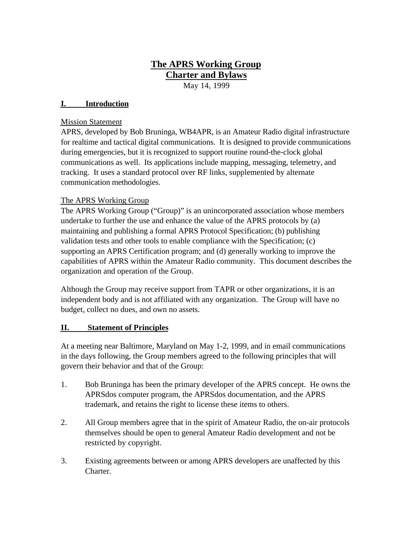# **The APRS Working Group Charter and Bylaws**

May 14, 1999

#### **I. Introduction**

#### Mission Statement

APRS, developed by Bob Bruninga, WB4APR, is an Amateur Radio digital infrastructure for realtime and tactical digital communications. It is designed to provide communications during emergencies, but it is recognized to support routine round-the-clock global communications as well. Its applications include mapping, messaging, telemetry, and tracking. It uses a standard protocol over RF links, supplemented by alternate communication methodologies.

# The APRS Working Group

The APRS Working Group ("Group)" is an unincorporated association whose members undertake to further the use and enhance the value of the APRS protocols by (a) maintaining and publishing a formal APRS Protocol Specification; (b) publishing validation tests and other tools to enable compliance with the Specification; (c) supporting an APRS Certification program; and (d) generally working to improve the capabilities of APRS within the Amateur Radio community. This document describes the organization and operation of the Group.

Although the Group may receive support from TAPR or other organizations, it is an independent body and is not affiliated with any organization. The Group will have no budget, collect no dues, and own no assets.

# **II. Statement of Principles**

At a meeting near Baltimore, Maryland on May 1-2, 1999, and in email communications in the days following, the Group members agreed to the following principles that will govern their behavior and that of the Group:

- 1. Bob Bruninga has been the primary developer of the APRS concept. He owns the APRSdos computer program, the APRSdos documentation, and the APRS trademark, and retains the right to license these items to others.
- 2. All Group members agree that in the spirit of Amateur Radio, the on-air protocols themselves should be open to general Amateur Radio development and not be restricted by copyright.
- 3. Existing agreements between or among APRS developers are unaffected by this Charter.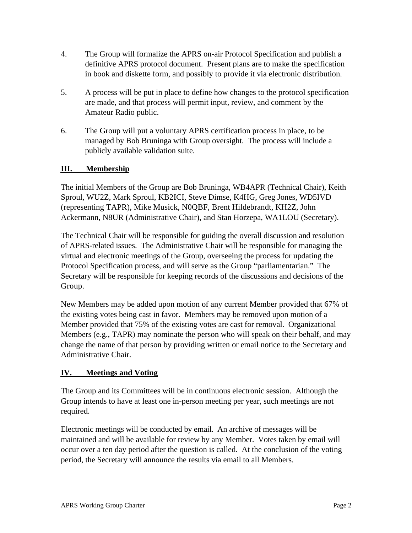- 4. The Group will formalize the APRS on-air Protocol Specification and publish a definitive APRS protocol document. Present plans are to make the specification in book and diskette form, and possibly to provide it via electronic distribution.
- 5. A process will be put in place to define how changes to the protocol specification are made, and that process will permit input, review, and comment by the Amateur Radio public.
- 6. The Group will put a voluntary APRS certification process in place, to be managed by Bob Bruninga with Group oversight. The process will include a publicly available validation suite.

# **III. Membership**

The initial Members of the Group are Bob Bruninga, WB4APR (Technical Chair), Keith Sproul, WU2Z, Mark Sproul, KB2ICI, Steve Dimse, K4HG, Greg Jones, WD5IVD (representing TAPR), Mike Musick, N0QBF, Brent Hildebrandt, KH2Z, John Ackermann, N8UR (Administrative Chair), and Stan Horzepa, WA1LOU (Secretary).

The Technical Chair will be responsible for guiding the overall discussion and resolution of APRS-related issues. The Administrative Chair will be responsible for managing the virtual and electronic meetings of the Group, overseeing the process for updating the Protocol Specification process, and will serve as the Group "parliamentarian." The Secretary will be responsible for keeping records of the discussions and decisions of the Group.

New Members may be added upon motion of any current Member provided that 67% of the existing votes being cast in favor. Members may be removed upon motion of a Member provided that 75% of the existing votes are cast for removal. Organizational Members (e.g., TAPR) may nominate the person who will speak on their behalf, and may change the name of that person by providing written or email notice to the Secretary and Administrative Chair.

# **IV. Meetings and Voting**

The Group and its Committees will be in continuous electronic session. Although the Group intends to have at least one in-person meeting per year, such meetings are not required.

Electronic meetings will be conducted by email. An archive of messages will be maintained and will be available for review by any Member. Votes taken by email will occur over a ten day period after the question is called. At the conclusion of the voting period, the Secretary will announce the results via email to all Members.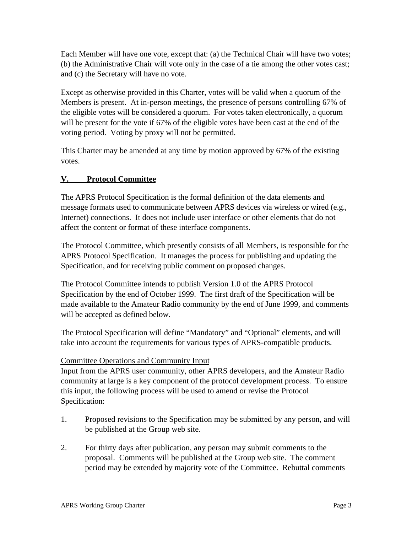Each Member will have one vote, except that: (a) the Technical Chair will have two votes; (b) the Administrative Chair will vote only in the case of a tie among the other votes cast; and (c) the Secretary will have no vote.

Except as otherwise provided in this Charter, votes will be valid when a quorum of the Members is present. At in-person meetings, the presence of persons controlling 67% of the eligible votes will be considered a quorum. For votes taken electronically, a quorum will be present for the vote if 67% of the eligible votes have been cast at the end of the voting period. Voting by proxy will not be permitted.

This Charter may be amended at any time by motion approved by 67% of the existing votes.

# **V. Protocol Committee**

The APRS Protocol Specification is the formal definition of the data elements and message formats used to communicate between APRS devices via wireless or wired (e.g., Internet) connections. It does not include user interface or other elements that do not affect the content or format of these interface components.

The Protocol Committee, which presently consists of all Members, is responsible for the APRS Protocol Specification. It manages the process for publishing and updating the Specification, and for receiving public comment on proposed changes.

The Protocol Committee intends to publish Version 1.0 of the APRS Protocol Specification by the end of October 1999. The first draft of the Specification will be made available to the Amateur Radio community by the end of June 1999, and comments will be accepted as defined below.

The Protocol Specification will define "Mandatory" and "Optional" elements, and will take into account the requirements for various types of APRS-compatible products.

# Committee Operations and Community Input

Input from the APRS user community, other APRS developers, and the Amateur Radio community at large is a key component of the protocol development process. To ensure this input, the following process will be used to amend or revise the Protocol Specification:

- 1. Proposed revisions to the Specification may be submitted by any person, and will be published at the Group web site.
- 2. For thirty days after publication, any person may submit comments to the proposal. Comments will be published at the Group web site. The comment period may be extended by majority vote of the Committee. Rebuttal comments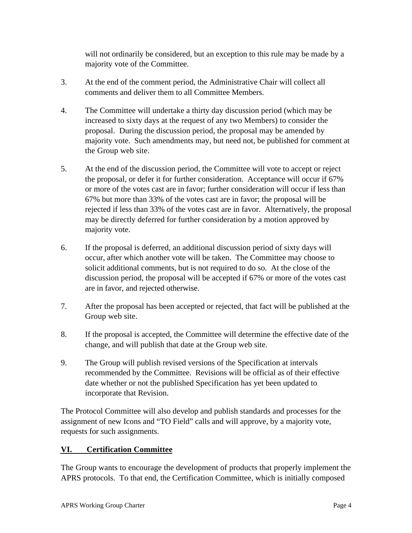will not ordinarily be considered, but an exception to this rule may be made by a majority vote of the Committee.

- 3. At the end of the comment period, the Administrative Chair will collect all comments and deliver them to all Committee Members.
- 4. The Committee will undertake a thirty day discussion period (which may be increased to sixty days at the request of any two Members) to consider the proposal. During the discussion period, the proposal may be amended by majority vote. Such amendments may, but need not, be published for comment at the Group web site.
- 5. At the end of the discussion period, the Committee will vote to accept or reject the proposal, or defer it for further consideration. Acceptance will occur if 67% or more of the votes cast are in favor; further consideration will occur if less than 67% but more than 33% of the votes cast are in favor; the proposal will be rejected if less than 33% of the votes cast are in favor. Alternatively, the proposal may be directly deferred for further consideration by a motion approved by majority vote.
- 6. If the proposal is deferred, an additional discussion period of sixty days will occur, after which another vote will be taken. The Committee may choose to solicit additional comments, but is not required to do so. At the close of the discussion period, the proposal will be accepted if 67% or more of the votes cast are in favor, and rejected otherwise.
- 7. After the proposal has been accepted or rejected, that fact will be published at the Group web site.
- 8. If the proposal is accepted, the Committee will determine the effective date of the change, and will publish that date at the Group web site.
- 9. The Group will publish revised versions of the Specification at intervals recommended by the Committee. Revisions will be official as of their effective date whether or not the published Specification has yet been updated to incorporate that Revision.

The Protocol Committee will also develop and publish standards and processes for the assignment of new Icons and "TO Field" calls and will approve, by a majority vote, requests for such assignments.

# **VI. Certification Committee**

The Group wants to encourage the development of products that properly implement the APRS protocols. To that end, the Certification Committee, which is initially composed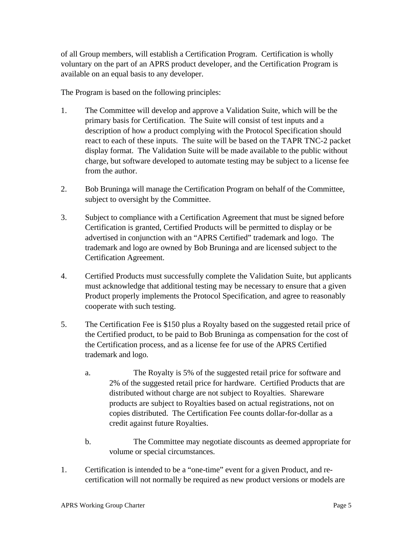of all Group members, will establish a Certification Program. Certification is wholly voluntary on the part of an APRS product developer, and the Certification Program is available on an equal basis to any developer.

The Program is based on the following principles:

- 1. The Committee will develop and approve a Validation Suite, which will be the primary basis for Certification. The Suite will consist of test inputs and a description of how a product complying with the Protocol Specification should react to each of these inputs. The suite will be based on the TAPR TNC-2 packet display format. The Validation Suite will be made available to the public without charge, but software developed to automate testing may be subject to a license fee from the author.
- 2. Bob Bruninga will manage the Certification Program on behalf of the Committee, subject to oversight by the Committee.
- 3. Subject to compliance with a Certification Agreement that must be signed before Certification is granted, Certified Products will be permitted to display or be advertised in conjunction with an "APRS Certified" trademark and logo. The trademark and logo are owned by Bob Bruninga and are licensed subject to the Certification Agreement.
- 4. Certified Products must successfully complete the Validation Suite, but applicants must acknowledge that additional testing may be necessary to ensure that a given Product properly implements the Protocol Specification, and agree to reasonably cooperate with such testing.
- 5. The Certification Fee is \$150 plus a Royalty based on the suggested retail price of the Certified product, to be paid to Bob Bruninga as compensation for the cost of the Certification process, and as a license fee for use of the APRS Certified trademark and logo.
	- a. The Royalty is 5% of the suggested retail price for software and 2% of the suggested retail price for hardware. Certified Products that are distributed without charge are not subject to Royalties. Shareware products are subject to Royalties based on actual registrations, not on copies distributed. The Certification Fee counts dollar-for-dollar as a credit against future Royalties.
	- b. The Committee may negotiate discounts as deemed appropriate for volume or special circumstances.
- 1. Certification is intended to be a "one-time" event for a given Product, and recertification will not normally be required as new product versions or models are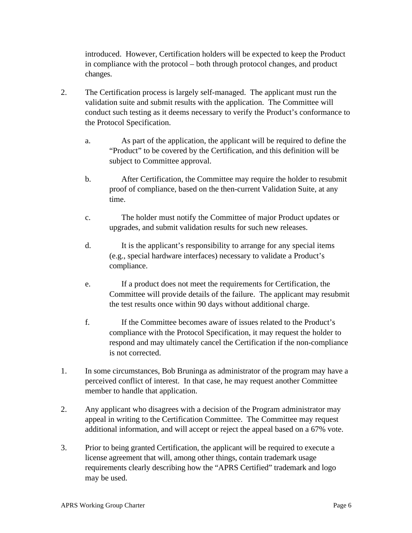introduced. However, Certification holders will be expected to keep the Product in compliance with the protocol – both through protocol changes, and product changes.

- 2. The Certification process is largely self-managed. The applicant must run the validation suite and submit results with the application. The Committee will conduct such testing as it deems necessary to verify the Product's conformance to the Protocol Specification.
	- a. As part of the application, the applicant will be required to define the "Product" to be covered by the Certification, and this definition will be subject to Committee approval.
	- b. After Certification, the Committee may require the holder to resubmit proof of compliance, based on the then-current Validation Suite, at any time.
	- c. The holder must notify the Committee of major Product updates or upgrades, and submit validation results for such new releases.
	- d. It is the applicant's responsibility to arrange for any special items (e.g., special hardware interfaces) necessary to validate a Product's compliance.
	- e. If a product does not meet the requirements for Certification, the Committee will provide details of the failure. The applicant may resubmit the test results once within 90 days without additional charge.
	- f. If the Committee becomes aware of issues related to the Product's compliance with the Protocol Specification, it may request the holder to respond and may ultimately cancel the Certification if the non-compliance is not corrected.
- 1. In some circumstances, Bob Bruninga as administrator of the program may have a perceived conflict of interest. In that case, he may request another Committee member to handle that application.
- 2. Any applicant who disagrees with a decision of the Program administrator may appeal in writing to the Certification Committee. The Committee may request additional information, and will accept or reject the appeal based on a 67% vote.
- 3. Prior to being granted Certification, the applicant will be required to execute a license agreement that will, among other things, contain trademark usage requirements clearly describing how the "APRS Certified" trademark and logo may be used.